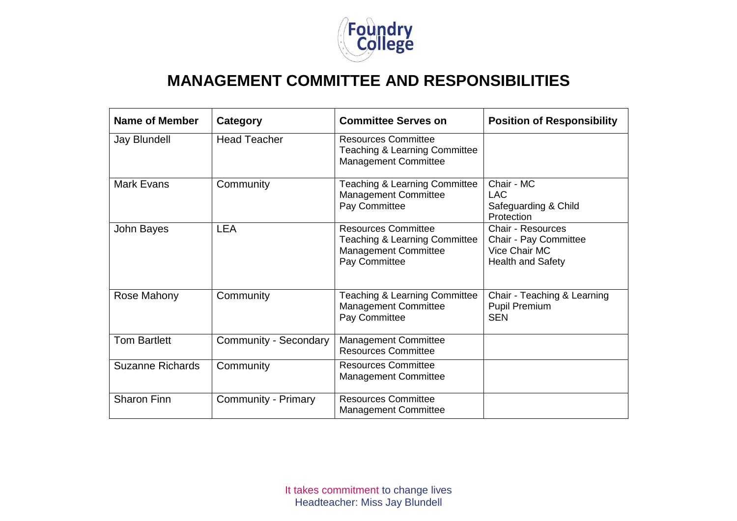

## **MANAGEMENT COMMITTEE AND RESPONSIBILITIES**

| Name of Member          | Category                   | <b>Committee Serves on</b>                                                                                             | <b>Position of Responsibility</b>                                                              |
|-------------------------|----------------------------|------------------------------------------------------------------------------------------------------------------------|------------------------------------------------------------------------------------------------|
| <b>Jay Blundell</b>     | <b>Head Teacher</b>        | <b>Resources Committee</b><br>Teaching & Learning Committee<br><b>Management Committee</b>                             |                                                                                                |
| <b>Mark Evans</b>       | Community                  | Teaching & Learning Committee<br><b>Management Committee</b><br>Pay Committee                                          | Chair - MC<br>LAC<br>Safeguarding & Child<br>Protection                                        |
| John Bayes              | <b>LEA</b>                 | <b>Resources Committee</b><br><b>Teaching &amp; Learning Committee</b><br><b>Management Committee</b><br>Pay Committee | <b>Chair - Resources</b><br>Chair - Pay Committee<br>Vice Chair MC<br><b>Health and Safety</b> |
| Rose Mahony             | Community                  | Teaching & Learning Committee<br><b>Management Committee</b><br>Pay Committee                                          | Chair - Teaching & Learning<br><b>Pupil Premium</b><br><b>SEN</b>                              |
| <b>Tom Bartlett</b>     | Community - Secondary      | <b>Management Committee</b><br><b>Resources Committee</b>                                                              |                                                                                                |
| <b>Suzanne Richards</b> | Community                  | <b>Resources Committee</b><br><b>Management Committee</b>                                                              |                                                                                                |
| <b>Sharon Finn</b>      | <b>Community - Primary</b> | <b>Resources Committee</b><br><b>Management Committee</b>                                                              |                                                                                                |